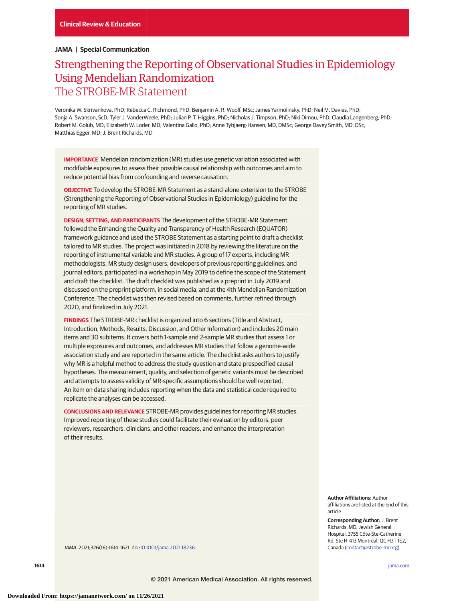# **JAMA | Special Communication**

# Strengthening the Reporting of Observational Studies in Epidemiology Using Mendelian Randomization The STROBE-MR Statement

Veronika W. Skrivankova, PhD; Rebecca C. Richmond, PhD; Benjamin A. R. Woolf, MSc; James Yarmolinsky, PhD; Neil M. Davies, PhD; Sonja A. Swanson, ScD; Tyler J. VanderWeele, PhD; Julian P. T. Higgins, PhD; Nicholas J. Timpson, PhD; Niki Dimou, PhD; Claudia Langenberg, PhD; Robert M. Golub, MD; Elizabeth W. Loder, MD; Valentina Gallo, PhD; Anne Tybjaerg-Hansen, MD, DMSc; George Davey Smith, MD, DSc; Matthias Egger, MD; J. Brent Richards, MD

**IMPORTANCE** Mendelian randomization (MR) studies use genetic variation associated with modifiable exposures to assess their possible causal relationship with outcomes and aim to reduce potential bias from confounding and reverse causation.

**OBJECTIVE** To develop the STROBE-MR Statement as a stand-alone extension to the STROBE (Strengthening the Reporting of Observational Studies in Epidemiology) guideline for the reporting of MR studies.

**DESIGN, SETTING, AND PARTICIPANTS** The development of the STROBE-MR Statement followed the Enhancing the Quality and Transparency of Health Research (EQUATOR) framework guidance and used the STROBE Statement as a starting point to draft a checklist tailored to MR studies. The project was initiated in 2018 by reviewing the literature on the reporting of instrumental variable and MR studies. A group of 17 experts, including MR methodologists, MR study design users, developers of previous reporting guidelines, and journal editors, participated in a workshop in May 2019 to define the scope of the Statement and draft the checklist. The draft checklist was published as a preprint in July 2019 and discussed on the preprint platform, in social media, and at the 4th Mendelian Randomization Conference. The checklist was then revised based on comments, further refined through 2020, and finalized in July 2021.

**FINDINGS** The STROBE-MR checklist is organized into 6 sections (Title and Abstract, Introduction, Methods, Results, Discussion, and Other Information) and includes 20 main items and 30 subitems. It covers both 1-sample and 2-sample MR studies that assess 1 or multiple exposures and outcomes, and addresses MR studies that follow a genome-wide association study and are reported in the same article. The checklist asks authors to justify why MR is a helpful method to address the study question and state prespecified causal hypotheses. The measurement, quality, and selection of genetic variants must be described and attempts to assess validity of MR-specific assumptions should be well reported. An item on data sharing includes reporting when the data and statistical code required to replicate the analyses can be accessed.

**CONCLUSIONS AND RELEVANCE** STROBE-MR provides guidelines for reporting MR studies. Improved reporting of these studies could facilitate their evaluation by editors, peer reviewers, researchers, clinicians, and other readers, and enhance the interpretation of their results.

> **Author Affiliations:** Author affiliations are listed at the end of this article.

**Corresponding Author:** J. Brent Richards, MD, Jewish General Hospital, 3755 Côte-Ste-Catherine Rd, Ste H-413 Montréal, QC H3T 1E2, Canada [\(contact@strobe-mr.org\)](mailto:contact@strobe-mr.org).

JAMA. 2021;326(16):1614-1621. doi[:10.1001/jama.2021.18236](https://jamanetwork.com/journals/jama/fullarticle/10.1001/jama.2021.18236?utm_campaign=articlePDF%26utm_medium=articlePDFlink%26utm_source=articlePDF%26utm_content=jama.2021.18236)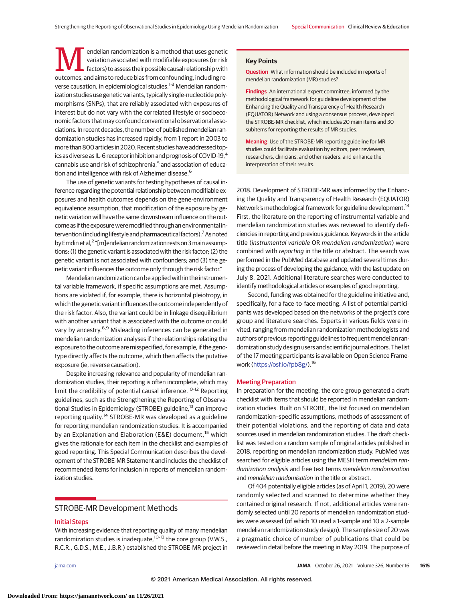**MENT** endelian randomization is a method that uses genetic<br>
factors) to assess their possible causal relationship with<br>
outcomes and aims to reduce hiss from confounding including revariation associated with modifiable exposures (or risk outcomes, and aims to reduce bias from confounding, including reverse causation, in epidemiological studies.<sup>1-3</sup> Mendelian randomization studies use genetic variants, typically single-nucleotide polymorphisms (SNPs), that are reliably associated with exposures of interest but do not vary with the correlated lifestyle or socioeconomic factors that may confound conventional observational associations. In recent decades, the number of published mendelian randomization studies has increased rapidly, from 1 report in 2003 to more than 800 articles in 2020. Recent studies have addressed topics as diverse as IL-6 receptor inhibition and prognosis of COVID-19,<sup>4</sup> cannabis use and risk of schizophrenia,<sup>5</sup> and association of education and intelligence with risk of Alzheimer disease.<sup>6</sup>

The use of genetic variants for testing hypotheses of causal inference regarding the potential relationship between modifiable exposures and health outcomes depends on the gene-environment equivalence assumption, that modification of the exposure by genetic variation will have the same downstream influence on the outcome as if the exposure weremodified through an environmental intervention (including lifestyle and pharmaceutical factors).<sup>7</sup> As noted by Emdinet al,<sup>2</sup> "[m]endelian randomization rests on 3 main assumptions: (1) the genetic variant is associated with the risk factor; (2) the genetic variant is not associated with confounders; and (3) the genetic variant influences the outcome only through the risk factor."

Mendelian randomization can be applied within the instrumental variable framework, if specific assumptions are met. Assumptions are violated if, for example, there is horizontal pleiotropy, in which the genetic variant influences the outcome independently of the risk factor. Also, the variant could be in linkage disequilibrium with another variant that is associated with the outcome or could vary by ancestry.<sup>8,9</sup> Misleading inferences can be generated in mendelian randomization analyses if the relationships relating the exposure to the outcome are misspecified, for example, if the genotype directly affects the outcome, which then affects the putative exposure (ie, reverse causation).

Despite increasing relevance and popularity of mendelian randomization studies, their reporting is often incomplete, which may limit the credibility of potential causal inference.<sup>10-12</sup> Reporting guidelines, such as the Strengthening the Reporting of Observational Studies in Epidemiology (STROBE) guideline,<sup>13</sup> can improve reporting quality.<sup>14</sup> STROBE-MR was developed as a guideline for reporting mendelian randomization studies. It is accompanied by an Explanation and Elaboration (E&E) document,<sup>15</sup> which gives the rationale for each item in the checklist and examples of good reporting. This Special Communication describes the development of the STROBE-MR Statement and includes the checklist of recommended items for inclusion in reports of mendelian randomization studies.

# STROBE-MR Development Methods

## Initial Steps

With increasing evidence that reporting quality of many mendelian randomization studies is inadequate,<sup>10-12</sup> the core group (V.W.S., R.C.R., G.D.S., M.E., J.B.R.) established the STROBE-MR project in

#### **Key Points**

**Question** What information should be included in reports of mendelian randomization (MR) studies?

**Findings** An international expert committee, informed by the methodological framework for guideline development of the Enhancing the Quality and Transparency of Health Research (EQUATOR) Network and using a consensus process, developed the STROBE-MR checklist, which includes 20 main items and 30 subitems for reporting the results of MR studies.

**Meaning** Use of the STROBE-MR reporting guideline for MR studies could facilitate evaluation by editors, peer reviewers, researchers, clinicians, and other readers, and enhance the interpretation of their results.

2018. Development of STROBE-MR was informed by the Enhancing the Quality and Transparency of Health Research (EQUATOR) Network's methodological framework for guideline development.<sup>14</sup> First, the literature on the reporting of instrumental variable and mendelian randomization studies was reviewed to identify deficiencies in reporting and previous guidance. Keywords in the article title (instrumental variable OR mendelian randomization) were combined with reporting in the title or abstract. The search was performed in the PubMed database and updated several times during the process of developing the guidance, with the last update on July 8, 2021. Additional literature searches were conducted to identify methodological articles or examples of good reporting.

Second, funding was obtained for the guideline initiative and, specifically, for a face-to-face meeting. A list of potential participants was developed based on the networks of the project's core group and literature searches. Experts in various fields were invited, ranging from mendelian randomization methodologists and authors of previous reporting guidelines to frequent mendelian randomization study design users and scientific journal editors. The list of the 17 meeting participants is available on Open Science Framework [\(https://osf.io/fpb8g/\)](https://osf.io/fpb8g/).16

#### Meeting Preparation

In preparation for the meeting, the core group generated a draft checklist with items that should be reported in mendelian randomization studies. Built on STROBE, the list focused on mendelian randomization–specific assumptions, methods of assessment of their potential violations, and the reporting of data and data sources used in mendelian randomization studies. The draft checklist was tested on a random sample of original articles published in 2018, reporting on mendelian randomization study. PubMed was searched for eligible articles using the MESH term mendelian randomization analysis and free text terms mendelian randomization and mendelian randomisation in the title or abstract.

Of 404 potentially eligible articles (as of April 1, 2019), 20 were randomly selected and scanned to determine whether they contained original research. If not, additional articles were randomly selected until 20 reports of mendelian randomization studies were assessed (of which 10 used a 1-sample and 10 a 2-sample mendelian randomization study design). The sample size of 20 was a pragmatic choice of number of publications that could be reviewed in detail before the meeting in May 2019. The purpose of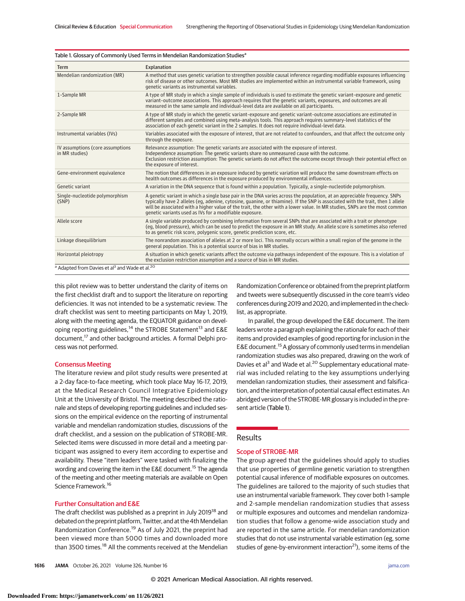| <b>Term</b>                                        | Explanation                                                                                                                                                                                                                                                                                                                                                                                                                                         |
|----------------------------------------------------|-----------------------------------------------------------------------------------------------------------------------------------------------------------------------------------------------------------------------------------------------------------------------------------------------------------------------------------------------------------------------------------------------------------------------------------------------------|
| Mendelian randomization (MR)                       | A method that uses genetic variation to strengthen possible causal inference regarding modifiable exposures influencing<br>risk of disease or other outcomes. Most MR studies are implemented within an instrumental variable framework, using<br>genetic variants as instrumental variables.                                                                                                                                                       |
| 1-Sample MR                                        | A type of MR study in which a single sample of individuals is used to estimate the genetic variant-exposure and genetic<br>variant-outcome associations. This approach requires that the genetic variants, exposures, and outcomes are all<br>measured in the same sample and individual-level data are available on all participants.                                                                                                              |
| 2-Sample MR                                        | A type of MR study in which the genetic variant-exposure and genetic variant-outcome associations are estimated in<br>different samples and combined using meta-analysis tools. This approach requires summary-level statistics of the<br>association of each genetic variant in the 2 samples. It does not require individual-level data.                                                                                                          |
| Instrumental variables (IVs)                       | Variables associated with the exposure of interest, that are not related to confounders, and that affect the outcome only<br>through the exposure.                                                                                                                                                                                                                                                                                                  |
| IV assumptions (core assumptions<br>in MR studies) | Relevance assumption: The genetic variants are associated with the exposure of interest.<br>Independence assumption: The genetic variants share no unmeasured cause with the outcome.<br>Exclusion restriction assumption: The genetic variants do not affect the outcome except through their potential effect on<br>the exposure of interest.                                                                                                     |
| Gene-environment equivalence                       | The notion that differences in an exposure induced by genetic variation will produce the same downstream effects on<br>health outcomes as differences in the exposure produced by environmental influences.                                                                                                                                                                                                                                         |
| Genetic variant                                    | A variation in the DNA sequence that is found within a population. Typically, a single-nucleotide polymorphism.                                                                                                                                                                                                                                                                                                                                     |
| Single-nucleotide polymorphism<br>(SNP)            | A genetic variant in which a single base pair in the DNA varies across the population, at an appreciable frequency. SNPs<br>typically have 2 alleles (eg, adenine, cytosine, guanine, or thiamine). If the SNP is associated with the trait, then 1 allele<br>will be associated with a higher value of the trait, the other with a lower value. In MR studies, SNPs are the most common<br>genetic variants used as IVs for a modifiable exposure. |
| Allele score                                       | A single variable produced by combining information from several SNPs that are associated with a trait or phenotype<br>(eq. blood pressure), which can be used to predict the exposure in an MR study. An allele score is sometimes also referred<br>to as genetic risk score, polygenic score, genetic prediction score, etc.                                                                                                                      |
| Linkage disequilibrium                             | The nonrandom association of alleles at 2 or more loci. This normally occurs within a small region of the genome in the<br>general population. This is a potential source of bias in MR studies.                                                                                                                                                                                                                                                    |
| Horizontal pleiotropy                              | A situation in which genetic variants affect the outcome via pathways independent of the exposure. This is a violation of<br>the exclusion restriction assumption and a source of bias in MR studies.                                                                                                                                                                                                                                               |

Table 1. Glossary of Commonly Used Terms in Mendelian Randomization Studies<sup>a</sup>

this pilot review was to better understand the clarity of items on the first checklist draft and to support the literature on reporting deficiencies. It was not intended to be a systematic review. The draft checklist was sent to meeting participants on May 1, 2019, along with the meeting agenda, the EQUATOR guidance on developing reporting guidelines,<sup>14</sup> the STROBE Statement<sup>13</sup> and E&E document,<sup>17</sup> and other background articles. A formal Delphi process was not performed.

#### Consensus Meeting

The literature review and pilot study results were presented at a 2-day face-to-face meeting, which took place May 16-17, 2019, at the Medical Research Council Integrative Epidemiology Unit at the University of Bristol. The meeting described the rationale and steps of developing reporting guidelines and included sessions on the empirical evidence on the reporting of instrumental variable and mendelian randomization studies, discussions of the draft checklist, and a session on the publication of STROBE-MR. Selected items were discussed in more detail and a meeting participant was assigned to every item according to expertise and availability. These "item leaders" were tasked with finalizing the wording and covering the item in the E&E document.<sup>15</sup> The agenda of the meeting and other meeting materials are available on Open Science Framework.<sup>16</sup>

### Further Consultation and E&E

The draft checklist was published as a preprint in July 2019<sup>18</sup> and debated on the preprint platform, Twitter, and at the 4th Mendelian Randomization Conference.<sup>19</sup> As of July 2021, the preprint had been viewed more than 5000 times and downloaded more than 3500 times.<sup>18</sup> All the comments received at the Mendelian Randomization Conference or obtained from the preprint platform and tweets were subsequently discussed in the core team's video conferences during 2019 and 2020, and implemented in the checklist, as appropriate.

In parallel, the group developed the E&E document. The item leaders wrote a paragraph explaining the rationale for each of their items and provided examples of good reporting for inclusion in the E&E document.15A glossary of commonly used terms in mendelian randomization studies was also prepared, drawing on the work of Davies et al<sup>3</sup> and Wade et al.<sup>20</sup> Supplementary educational material was included relating to the key assumptions underlying mendelian randomization studies, their assessment and falsification, and the interpretation of potential causal effect estimates. An abridged version of the STROBE-MR glossary is included in the present article (Table 1).

# Results

## Scope of STROBE-MR

The group agreed that the guidelines should apply to studies that use properties of germline genetic variation to strengthen potential causal inference of modifiable exposures on outcomes. The guidelines are tailored to the majority of such studies that use an instrumental variable framework. They cover both 1-sample and 2-sample mendelian randomization studies that assess or multiple exposures and outcomes and mendelian randomization studies that follow a genome-wide association study and are reported in the same article. For mendelian randomization studies that do not use instrumental variable estimation (eg, some studies of gene-by-environment interaction<sup>21</sup>), some items of the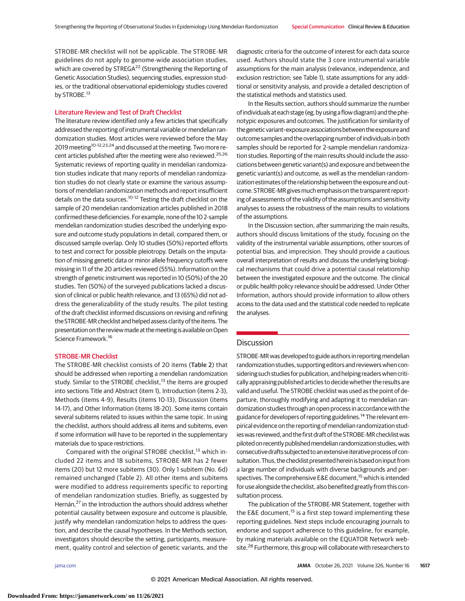STROBE-MR checklist will not be applicable. The STROBE-MR guidelines do not apply to genome-wide association studies, which are covered by STREGA<sup>22</sup> (Strengthening the Reporting of Genetic Association Studies), sequencing studies, expression studies, or the traditional observational epidemiology studies covered by STROBE.<sup>13</sup>

# Literature Review and Test of Draft Checklist

The literature review identified only a few articles that specifically addressed the reporting of instrumental variable or mendelian randomization studies. Most articles were reviewed before the May 2019 meeting<sup>10-12,23,24</sup> and discussed at the meeting. Two more recent articles published after the meeting were also reviewed.<sup>25,26</sup> Systematic reviews of reporting quality in mendelian randomization studies indicate that many reports of mendelian randomization studies do not clearly state or examine the various assumptions of mendelian randomization methods and report insufficient details on the data sources.<sup>10-12</sup> Testing the draft checklist on the sample of 20 mendelian randomization articles published in 2018 confirmed these deficiencies. For example, none of the 10 2-sample mendelian randomization studies described the underlying exposure and outcome study populations in detail, compared them, or discussed sample overlap. Only 10 studies (50%) reported efforts to test and correct for possible pleiotropy. Details on the imputation of missing genetic data or minor allele frequency cutoffs were missing in 11 of the 20 articles reviewed (55%). Information on the strength of genetic instrument was reported in 10 (50%) of the 20 studies. Ten (50%) of the surveyed publications lacked a discussion of clinical or public health relevance, and 13 (65%) did not address the generalizability of the study results. The pilot testing of the draft checklist informed discussions on revising and refining the STROBE-MR checklist and helped assess clarity of the items. The presentation on the reviewmade at themeeting is available onOpen Science Framework.<sup>16</sup>

#### STROBE-MR Checklist

The STROBE-MR checklist consists of 20 items (Table 2) that should be addressed when reporting a mendelian randomization study. Similar to the STROBE checklist, $13$  the items are grouped into sections Title and Abstract (item 1), Introduction (items 2-3), Methods (items 4-9), Results (items 10-13), Discussion (items 14-17), and Other Information (items 18-20). Some items contain several subitems related to issues within the same topic. In using the checklist, authors should address all items and subitems, even if some information will have to be reported in the supplementary materials due to space restrictions.

Compared with the original STROBE checklist,<sup>13</sup> which included 22 items and 18 subitems, STROBE-MR has 2 fewer items (20) but 12 more subitems (30). Only 1 subitem (No. 6d) remained unchanged (Table 2). All other items and subitems were modified to address requirements specific to reporting of mendelian randomization studies. Briefly, as suggested by Hernán,<sup>27</sup> in the Introduction the authors should address whether potential causality between exposure and outcome is plausible, justify why mendelian randomization helps to address the question, and describe the causal hypotheses. In the Methods section, investigators should describe the setting, participants, measurement, quality control and selection of genetic variants, and the

diagnostic criteria for the outcome of interest for each data source used. Authors should state the 3 core instrumental variable assumptions for the main analysis (relevance, independence, and exclusion restriction; see Table 1), state assumptions for any additional or sensitivity analysis, and provide a detailed description of the statistical methods and statistics used.

In the Results section, authors should summarize the number of individuals ateach stage (eg, by using a flow diagram) and the phenotypic exposures and outcomes. The justification for similarity of the genetic variant-exposure associations between the exposure and outcome samples and the overlapping number of individuals in both samples should be reported for 2-sample mendelian randomization studies. Reporting of the main results should include the associations between genetic variant(s) and exposure and between the genetic variant(s) and outcome, as well as the mendelian randomization estimates of the relationship between the exposure and outcome. STROBE-MR gives much emphasis on the transparent reporting of assessments of the validity of the assumptions and sensitivity analyses to assess the robustness of the main results to violations of the assumptions.

In the Discussion section, after summarizing the main results, authors should discuss limitations of the study, focusing on the validity of the instrumental variable assumptions, other sources of potential bias, and imprecision. They should provide a cautious overall interpretation of results and discuss the underlying biological mechanisms that could drive a potential causal relationship between the investigated exposure and the outcome. The clinical or public health policy relevance should be addressed. Under Other Information, authors should provide information to allow others access to the data used and the statistical code needed to replicate the analyses.

# **Discussion**

STROBE-MR was developed to guide authors in reporting mendelian randomization studies, supporting editors and reviewers when considering such studies for publication, and helping readers when critically appraising published articles to decide whether the results are valid and useful. The STROBE checklist was used as the point of departure, thoroughly modifying and adapting it to mendelian randomization studies through an open process in accordance with the guidance for developers of reporting guidelines.<sup>14</sup> The relevant empirical evidence on the reporting of mendelian randomization studies was reviewed, and the first draft of the STROBE-MR checklist was piloted on recently published mendelian randomization studies, with consecutive drafts subjected to anextensive iterative process of consultation. Thus, the checklist presented herein is based on input from a large number of individuals with diverse backgrounds and perspectives. The comprehensive E&E document,<sup>15</sup> which is intended for use alongside the checklist, also benefited greatly from this consultation process.

The publication of the STROBE-MR Statement, together with the E&E document,<sup>15</sup> is a first step toward implementing these reporting guidelines. Next steps include encouraging journals to endorse and support adherence to this guideline, for example, by making materials available on the EQUATOR Network website.<sup>28</sup> Furthermore, this group will collaborate with researchers to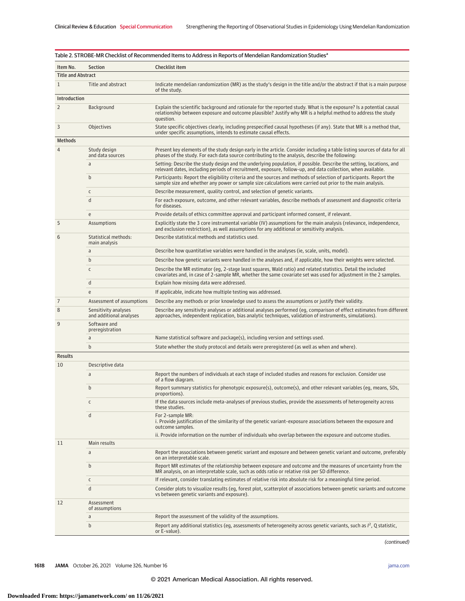| Item No.                  | <b>Section</b>                                  | Checklist item                                                                                                                                                                                                                                   |
|---------------------------|-------------------------------------------------|--------------------------------------------------------------------------------------------------------------------------------------------------------------------------------------------------------------------------------------------------|
| <b>Title and Abstract</b> |                                                 |                                                                                                                                                                                                                                                  |
| $\mathbf{1}$              | Title and abstract                              | Indicate mendelian randomization (MR) as the study's design in the title and/or the abstract if that is a main purpose<br>of the study.                                                                                                          |
| Introduction              |                                                 |                                                                                                                                                                                                                                                  |
| $\overline{2}$            | Background                                      | Explain the scientific background and rationale for the reported study. What is the exposure? Is a potential causal<br>relationship between exposure and outcome plausible? Justify why MR is a helpful method to address the study<br>question. |
| 3                         | Objectives                                      | State specific objectives clearly, including prespecified causal hypotheses (if any). State that MR is a method that,<br>under specific assumptions, intends to estimate causal effects.                                                         |
| <b>Methods</b>            |                                                 |                                                                                                                                                                                                                                                  |
| $\overline{4}$            | Study design<br>and data sources                | Present key elements of the study design early in the article. Consider including a table listing sources of data for all<br>phases of the study. For each data source contributing to the analysis, describe the following:                     |
|                           | a                                               | Setting: Describe the study design and the underlying population, if possible. Describe the setting, locations, and<br>relevant dates, including periods of recruitment, exposure, follow-up, and data collection, when available.               |
|                           | $\mathsf b$                                     | Participants: Report the eligibility criteria and the sources and methods of selection of participants. Report the<br>sample size and whether any power or sample size calculations were carried out prior to the main analysis.                 |
|                           | C                                               | Describe measurement, quality control, and selection of genetic variants.                                                                                                                                                                        |
|                           | d                                               | For each exposure, outcome, and other relevant variables, describe methods of assessment and diagnostic criteria<br>for diseases.                                                                                                                |
|                           | e                                               | Provide details of ethics committee approval and participant informed consent, if relevant.                                                                                                                                                      |
| 5                         | Assumptions                                     | Explicitly state the 3 core instrumental variable (IV) assumptions for the main analysis (relevance, independence,<br>and exclusion restriction), as well assumptions for any additional or sensitivity analysis.                                |
| 6                         | Statistical methods:<br>main analysis           | Describe statistical methods and statistics used.                                                                                                                                                                                                |
|                           | a                                               | Describe how quantitative variables were handled in the analyses (ie, scale, units, model).                                                                                                                                                      |
|                           | b                                               | Describe how genetic variants were handled in the analyses and, if applicable, how their weights were selected.                                                                                                                                  |
|                           | $\mathsf C$                                     | Describe the MR estimator (eg, 2-stage least squares, Wald ratio) and related statistics. Detail the included<br>covariates and, in case of 2-sample MR, whether the same covariate set was used for adjustment in the 2 samples.                |
|                           | d                                               | Explain how missing data were addressed.                                                                                                                                                                                                         |
|                           | e                                               | If applicable, indicate how multiple testing was addressed.                                                                                                                                                                                      |
| 7                         | Assessment of assumptions                       | Describe any methods or prior knowledge used to assess the assumptions or justify their validity.                                                                                                                                                |
| 8                         | Sensitivity analyses<br>and additional analyses | Describe any sensitivity analyses or additional analyses performed (eg, comparison of effect estimates from different<br>approaches, independent replication, bias analytic techniques, validation of instruments, simulations).                 |
| 9                         | Software and<br>preregistration                 |                                                                                                                                                                                                                                                  |
|                           | a                                               | Name statistical software and package(s), including version and settings used.                                                                                                                                                                   |
|                           | $\mathsf b$                                     | State whether the study protocol and details were preregistered (as well as when and where).                                                                                                                                                     |
| <b>Results</b>            |                                                 |                                                                                                                                                                                                                                                  |
| 10                        | Descriptive data<br>a                           | Report the numbers of individuals at each stage of included studies and reasons for exclusion. Consider use<br>of a flow diagram.                                                                                                                |
|                           | $\mathsf b$                                     | Report summary statistics for phenotypic exposure(s), outcome(s), and other relevant variables (eg, means, SDs,<br>proportions).                                                                                                                 |
|                           | C                                               | If the data sources include meta-analyses of previous studies, provide the assessments of heterogeneity across<br>these studies.                                                                                                                 |
|                           | d                                               | For 2-sample MR:<br>i. Provide justification of the similarity of the genetic variant-exposure associations between the exposure and<br>outcome samples.                                                                                         |
|                           |                                                 | ii. Provide information on the number of individuals who overlap between the exposure and outcome studies.                                                                                                                                       |
| 11                        | Main results                                    |                                                                                                                                                                                                                                                  |
|                           | a                                               | Report the associations between genetic variant and exposure and between genetic variant and outcome, preferably<br>on an interpretable scale.                                                                                                   |
|                           | $\mathsf b$                                     | Report MR estimates of the relationship between exposure and outcome and the measures of uncertainty from the<br>MR analysis, on an interpretable scale, such as odds ratio or relative risk per SD difference.                                  |
|                           | $\mathsf{C}$                                    | If relevant, consider translating estimates of relative risk into absolute risk for a meaningful time period.                                                                                                                                    |
|                           | d                                               | Consider plots to visualize results (eg, forest plot, scatterplot of associations between genetic variants and outcome<br>vs between genetic variants and exposure).                                                                             |
| 12                        | Assessment<br>of assumptions                    |                                                                                                                                                                                                                                                  |
|                           | a                                               | Report the assessment of the validity of the assumptions.                                                                                                                                                                                        |
|                           | $\mathbf b$                                     | Report any additional statistics (eg, assessments of heterogeneity across genetic variants, such as $l^2$ , Q statistic,<br>or E-value).                                                                                                         |

(continued)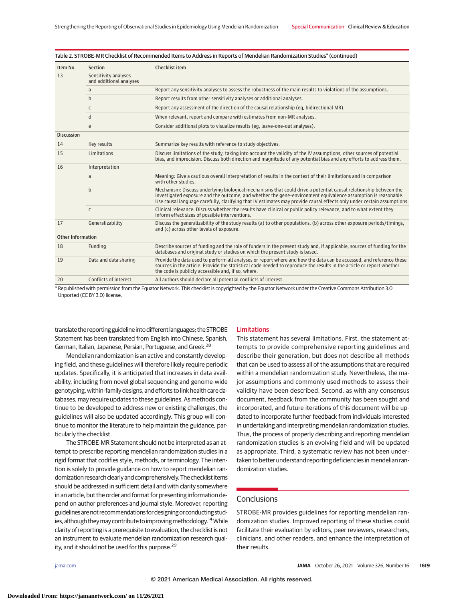| Item No.                 | <b>Section</b>                                  | Checklist item                                                                                                                                                                                                                                                                                                                                              |
|--------------------------|-------------------------------------------------|-------------------------------------------------------------------------------------------------------------------------------------------------------------------------------------------------------------------------------------------------------------------------------------------------------------------------------------------------------------|
| 13                       | Sensitivity analyses<br>and additional analyses |                                                                                                                                                                                                                                                                                                                                                             |
|                          | a                                               | Report any sensitivity analyses to assess the robustness of the main results to violations of the assumptions.                                                                                                                                                                                                                                              |
|                          | $\mathbf b$                                     | Report results from other sensitivity analyses or additional analyses.                                                                                                                                                                                                                                                                                      |
|                          | $\mathsf{C}$                                    | Report any assessment of the direction of the causal relationship (eq. bidirectional MR).                                                                                                                                                                                                                                                                   |
|                          | d                                               | When relevant, report and compare with estimates from non-MR analyses.                                                                                                                                                                                                                                                                                      |
|                          | e                                               | Consider additional plots to visualize results (eq. leave-one-out analyses).                                                                                                                                                                                                                                                                                |
| <b>Discussion</b>        |                                                 |                                                                                                                                                                                                                                                                                                                                                             |
| 14                       | Key results                                     | Summarize key results with reference to study objectives.                                                                                                                                                                                                                                                                                                   |
| 15                       | Limitations                                     | Discuss limitations of the study, taking into account the validity of the IV assumptions, other sources of potential<br>bias, and imprecision. Discuss both direction and magnitude of any potential bias and any efforts to address them.                                                                                                                  |
| 16                       | Interpretation                                  |                                                                                                                                                                                                                                                                                                                                                             |
|                          | a                                               | Meaning: Give a cautious overall interpretation of results in the context of their limitations and in comparison<br>with other studies.                                                                                                                                                                                                                     |
|                          | $\mathsf b$                                     | Mechanism: Discuss underlying biological mechanisms that could drive a potential causal relationship between the<br>investigated exposure and the outcome, and whether the gene-environment equivalence assumption is reasonable.<br>Use causal language carefully, clarifying that IV estimates may provide causal effects only under certain assumptions. |
|                          | $\mathsf{C}$                                    | Clinical relevance: Discuss whether the results have clinical or public policy relevance, and to what extent they<br>inform effect sizes of possible interventions.                                                                                                                                                                                         |
| 17                       | Generalizability                                | Discuss the generalizability of the study results (a) to other populations, (b) across other exposure periods/timings.<br>and (c) across other levels of exposure.                                                                                                                                                                                          |
| <b>Other Information</b> |                                                 |                                                                                                                                                                                                                                                                                                                                                             |
| 18                       | Funding                                         | Describe sources of funding and the role of funders in the present study and, if applicable, sources of funding for the<br>databases and original study or studies on which the present study is based.                                                                                                                                                     |
| 19                       | Data and data sharing                           | Provide the data used to perform all analyses or report where and how the data can be accessed, and reference these<br>sources in the article. Provide the statistical code needed to reproduce the results in the article or report whether<br>the code is publicly accessible and, if so, where.                                                          |
| 20                       | Conflicts of interest                           | All authors should declare all potential conflicts of interest.                                                                                                                                                                                                                                                                                             |

Table 2. STROBE-MR Checklist of Recommended Items to Address in Reports of Mendelian Randomization Studies<sup>a</sup> (continued)

the Equator Network under the Creative Commons Attribution 3.0 Unported (CC BY 3.0) license.

translate the reporting guideline into different languages; the STROBE Statement has been translated from English into Chinese, Spanish, German, Italian, Japanese, Persian, Portuguese, and Greek.28

Mendelian randomization is an active and constantly developing field, and these guidelines will therefore likely require periodic updates. Specifically, it is anticipated that increases in data availability, including from novel global sequencing and genome-wide genotyping, within-family designs, and efforts to link health care databases, may require updates to these guidelines. As methods continue to be developed to address new or existing challenges, the guidelines will also be updated accordingly. This group will continue to monitor the literature to help maintain the guidance, particularly the checklist.

The STROBE-MR Statement should not be interpreted as an attempt to prescribe reporting mendelian randomization studies in a rigid format that codifies style, methods, or terminology. The intention is solely to provide guidance on how to report mendelian randomization research clearlyand comprehensively. The checklist items should be addressed in sufficient detail and with clarity somewhere in an article, but the order and format for presenting information depend on author preferences and journal style. Moreover, reporting guidelines are not recommendations for designing or conducting studies, although they may contribute to improving methodology.<sup>14</sup> While clarity of reporting is a prerequisite to evaluation, the checklist is not an instrument to evaluate mendelian randomization research quality, and it should not be used for this purpose.<sup>29</sup>

#### Limitations

This statement has several limitations. First, the statement attempts to provide comprehensive reporting guidelines and describe their generation, but does not describe all methods that can be used to assess all of the assumptions that are required within a mendelian randomization study. Nevertheless, the major assumptions and commonly used methods to assess their validity have been described. Second, as with any consensus document, feedback from the community has been sought and incorporated, and future iterations of this document will be updated to incorporate further feedback from individuals interested in undertaking and interpreting mendelian randomization studies. Thus, the process of properly describing and reporting mendelian randomization studies is an evolving field and will be updated as appropriate. Third, a systematic review has not been undertaken to better understand reporting deficiencies in mendelian randomization studies.

# **Conclusions**

STROBE-MR provides guidelines for reporting mendelian randomization studies. Improved reporting of these studies could facilitate their evaluation by editors, peer reviewers, researchers, clinicians, and other readers, and enhance the interpretation of their results.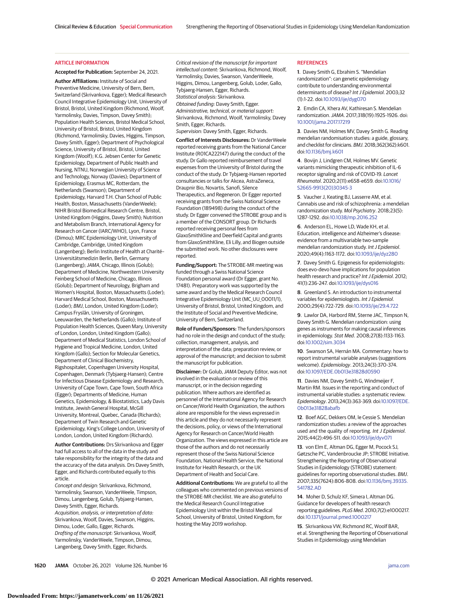#### ARTICLE INFORMATION

**Accepted for Publication:** September 24, 2021.

**Author Affiliations:** Institute of Social and Preventive Medicine, University of Bern, Bern, Switzerland (Skrivankova, Egger); Medical Research Council Integrative Epidemiology Unit, University of Bristol, Bristol, United Kingdom (Richmond, Woolf, Yarmolinsky, Davies, Timpson, Davey Smith); Population Health Sciences, Bristol Medical School, University of Bristol, Bristol, United Kingdom (Richmond, Yarmolinsky, Davies, Higgins, Timpson, Davey Smith, Egger); Department of Psychological Science, University of Bristol, Bristol, United Kingdom (Woolf); K.G. Jebsen Center for Genetic Epidemiology, Department of Public Health and Nursing, NTNU, Norwegian University of Science and Technology, Norway (Davies); Department of Epidemiology, Erasmus MC, Rotterdam, the Netherlands (Swanson); Department of Epidemiology, Harvard T.H. Chan School of Public Health, Boston, Massachusetts (VanderWeele); NIHR Bristol Biomedical Research Centre, Bristol, United Kingdom (Higgins, Davey Smith); Nutrition and Metabolism Branch, International Agency for Research on Cancer (IARC/WHO), Lyon, France (Dimou); MRC Epidemiology Unit, University of Cambridge, Cambridge, United Kingdom (Langenberg); Berlin Institute of Health at Charité– Universitätsmedizin Berlin, Berlin, Germany (Langenberg);JAMA, Chicago, Illinois (Golub); Department of Medicine, Northwestern University Feinberg School of Medicine, Chicago, Illinois (Golub); Department of Neurology, Brigham and Women's Hospital, Boston, Massachusetts (Loder); Harvard Medical School, Boston, Massachusetts (Loder); BMJ, London, United Kingdom (Loder); Campus Fryslân, University of Groningen, Leeuwarden, the Netherlands (Gallo); Institute of Population Health Sciences, Queen Mary, University of London, London, United Kingdom (Gallo); Department of Medical Statistics, London School of Hygiene and Tropical Medicine, London, United Kingdom (Gallo); Section for Molecular Genetics, Department of Clinical Biochemistry, Rigshospitalet, Copenhagen University Hospital, Copenhagen, Denmark (Tybjaerg-Hansen); Centre for Infectious Disease Epidemiology and Research, University of Cape Town, Cape Town, South Africa (Egger); Departments of Medicine, Human Genetics, Epidemiology, & Biostatistics, Lady Davis Institute, Jewish General Hospital, McGill University, Montreal, Quebec, Canada (Richards); Department of Twin Research and Genetic Epidemiology, King's College London, University of London, London, United Kingdom (Richards).

**Author Contributions:** Drs Skrivankova and Egger had full access to all of the data in the study and take responsibility for the integrity of the data and the accuracy of the data analysis. Drs Davey Smith, Egger, and Richards contributed equally to this article.

Concept and design: Skrivankova, Richmond, Yarmolinsky, Swanson, VanderWeele, Timpson, Dimou, Langenberg, Golub, Tybjaerg-Hansen, Davey Smith, Egger, Richards. Acquisition, analysis, or interpretation of data: Skrivankova, Woolf, Davies, Swanson, Higgins, Dimou, Loder, Gallo, Egger, Richards. Drafting of the manuscript: Skrivankova, Woolf, Yarmolinsky, VanderWeele, Timpson, Dimou, Langenberg, Davey Smith, Egger, Richards.

Critical revision of the manuscript for important intellectual content: Skrivankova, Richmond, Woolf, Yarmolinsky, Davies, Swanson, VanderWeele, Higgins, Dimou, Langenberg, Golub, Loder, Gallo, Tybjaerg-Hansen, Egger, Richards. Statistical analysis: Skrivankova. Obtained funding: Davey Smith, Egger. Administrative, technical, or material support: Skrivankova, Richmond, Woolf, Yarmolinsky, Davey Smith, Egger, Richards. Supervision: Davey Smith, Egger, Richards.

**Conflict of Interests Disclosures:** Dr VanderWeele reported receiving grants from the National Cancer Institute (R01CA222147) during the conduct of the study. Dr Gallo reported reimbursement of travel expenses from the University of Bristol during the conduct of the study. Dr Tybjaerg-Hansen reported consultancies or talks for Akcea, AstraZeneca, Draupnir Bio, Novartis, Sanofi, Silence Therapeutics, and Regeneron. Dr Egger reported receiving grants from the Swiss National Science Foundation (189498) during the conduct of the study. Dr Egger convened the STROBE group and is a member of the CONSORT group. Dr Richards reported receiving personal fees from GlaxoSmithKline and Deerfield Capital and grants from GlaxoSmithKline, Eli Lilly, and Biogen outside the submitted work. No other disclosures were reported.

**Funding/Support:** The STROBE-MR meeting was funded through a Swiss National Science Foundation personal award (Dr Egger, grant No. 17481). Preparatory work was supported by the same award and by the Medical Research Council Integrative Epidemiology Unit (MC\_UU\_00011/1), University of Bristol, Bristol, United Kingdom, and the Institute of Social and Preventive Medicine, University of Bern, Switzerland.

**Role of Funders/Sponsors:** The funders/sponsors had no role in the design and conduct of the study; collection, management, analysis, and interpretation of the data; preparation review, or approval of the manuscript; and decision to submit the manuscript for publication.

**Disclaimer:** Dr Golub, JAMA Deputy Editor, was not involved in the evaluation or review of this manuscript, or in the decision regarding publication. Where authors are identified as personnel of the International Agency for Research on Cancer/World Health Organization, the authors alone are responsible for the views expressed in this article and they do not necessarily represent the decisions, policy, or views of the International Agency for Research on Cancer/World Health Organization. The views expressed in this article are those of the authors and do not necessarily represent those of the Swiss National Science Foundation, National Health Service, the National Institute for Health Research, or the UK Department of Health and Social Care.

**Additional Contributions:** We are grateful to all the colleagues who commented on previous versions of the STROBE-MR checklist. We are also grateful to the Medical Research Council Integrative Epidemiology Unit within the Bristol Medical School, University of Bristol, United Kingdom, for hosting the May 2019 workshop.

#### **REFERENCES**

**1**. Davey Smith G, Ebrahim S. "Mendelian randomization": can genetic epidemiology contribute to understanding environmental determinants of disease? Int J Epidemiol. 2003;32 (1):1-22. doi[:10.1093/ije/dyg070](https://dx.doi.org/10.1093/ije/dyg070)

**2**. Emdin CA, Khera AV, Kathiresan S. Mendelian randomization.JAMA. 2017;318(19):1925-1926. doi: [10.1001/jama.2017.17219](https://jamanetwork.com/journals/jama/fullarticle/10.1001/jama.2017.17219?utm_campaign=articlePDF%26utm_medium=articlePDFlink%26utm_source=articlePDF%26utm_content=jama.2021.18236)

**3**. Davies NM, Holmes MV, Davey Smith G. Reading mendelian randomisation studies: a guide, glossary, and checklist for clinicians. BMJ. 2018;362(362):k601. doi[:10.1136/bmj.k601](https://dx.doi.org/10.1136/bmj.k601)

**4**. Bovijn J, Lindgren CM, Holmes MV. Genetic variants mimicking therapeutic inhibition of IL-6 receptor signaling and risk of COVID-19. Lancet Rheumatol. 2020;2(11):e658-e659. doi[:10.1016/](https://dx.doi.org/10.1016/S2665-9913(20)30345-3) [S2665-9913\(20\)30345-3](https://dx.doi.org/10.1016/S2665-9913(20)30345-3)

**5**. Vaucher J, Keating BJ, Lasserre AM, et al. Cannabis use and risk of schizophrenia: a mendelian randomization study. Mol Psychiatry. 2018;23(5): 1287-1292. doi[:10.1038/mp.2016.252](https://dx.doi.org/10.1038/mp.2016.252)

**6**. Anderson EL, Howe LD, Wade KH, et al. Education, intelligence and Alzheimer's disease: evidence from a multivariable two-sample mendelian randomization study. Int J Epidemiol. 2020;49(4):1163-1172. doi[:10.1093/ije/dyz280](https://dx.doi.org/10.1093/ije/dyz280)

**7**. Davey Smith G. Epigenesis for epidemiologists: does evo-devo have implications for population health research and practice? Int J Epidemiol. 2012; 41(1):236-247. doi[:10.1093/ije/dys016](https://dx.doi.org/10.1093/ije/dys016)

**8**. Greenland S. An introduction to instrumental variables for epidemiologists. Int J Epidemiol. 2000;29(4):722-729. doi[:10.1093/ije/29.4.722](https://dx.doi.org/10.1093/ije/29.4.722)

**9**. Lawlor DA, Harbord RM, Sterne JAC, Timpson N, Davey Smith G. Mendelian randomization: using genes as instruments for making causal inferences in epidemiology. Stat Med. 2008;27(8):1133-1163. doi[:10.1002/sim.3034](https://dx.doi.org/10.1002/sim.3034)

**10**. Swanson SA, Hernán MA. Commentary: how to report instrumental variable analyses (suggestions welcome). Epidemiology. 2013;24(3):370-374. doi[:10.1097/EDE.0b013e31828d0590](https://dx.doi.org/10.1097/EDE.0b013e31828d0590)

**11**. Davies NM, Davey Smith G, Windmeijer F, Martin RM. Issues in the reporting and conduct of instrumental variable studies: a systematic review. Epidemiology. 2013;24(3):363-369. doi[:10.1097/EDE.](https://dx.doi.org/10.1097/EDE.0b013e31828abafb) [0b013e31828abafb](https://dx.doi.org/10.1097/EDE.0b013e31828abafb)

**12**. Boef AGC, Dekkers OM, le Cessie S. Mendelian randomization studies: a review of the approaches used and the quality of reporting. Int J Epidemiol. 2015;44(2):496-511. doi[:10.1093/ije/dyv071](https://dx.doi.org/10.1093/ije/dyv071)

**13**. von Elm E, Altman DG, Egger M, Pocock SJ, Gøtzsche PC, Vandenbroucke JP; STROBE Initiative. Strengthening the Reporting of Observational Studies in Epidemiology (STROBE) statement: guidelines for reporting observational studies. BMJ. 2007;335(7624):806-808. doi[:10.1136/bmj.39335.](https://dx.doi.org/10.1136/bmj.39335.541782.AD) 541782 AD

**14**. Moher D, Schulz KF, Simera I, Altman DG. Guidance for developers of health research reporting guidelines. PLoS Med. 2010;7(2):e1000217. doi[:10.1371/journal.pmed.1000217](https://dx.doi.org/10.1371/journal.pmed.1000217)

**15**. Skrivankova VW, Richmond RC, Woolf BAR, et al. Strengthening the Reporting of Observational Studies in Epidemiology using Mendelian